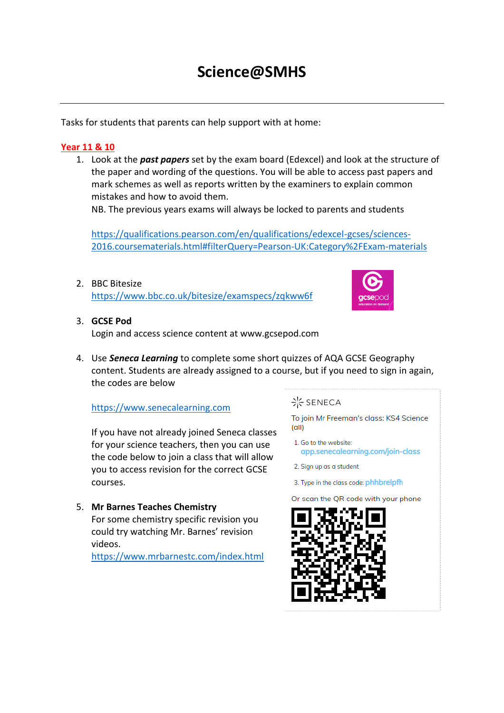# **Science@SMHS**

Tasks for students that parents can help support with at home:

# **Year 11 & 10**

1. Look at the *past papers* set by the exam board (Edexcel) and look at the structure of the paper and wording of the questions. You will be able to access past papers and mark schemes as well as reports written by the examiners to explain common mistakes and how to avoid them.

NB. The previous years exams will always be locked to parents and students

[https://qualifications.pearson.com/en/qualifications/edexcel-gcses/sciences-](https://qualifications.pearson.com/en/qualifications/edexcel-gcses/sciences-2016.coursematerials.html#filterQuery=Pearson-UK:Category%2FExam-materials)[2016.coursematerials.html#filterQuery=Pearson-UK:Category%2FExam-materials](https://qualifications.pearson.com/en/qualifications/edexcel-gcses/sciences-2016.coursematerials.html#filterQuery=Pearson-UK:Category%2FExam-materials)

2. BBC Bitesize <https://www.bbc.co.uk/bitesize/examspecs/zqkww6f>



# 3. **GCSE Pod**

Login and access science content at www.gcsepod.com

4. Use *Seneca Learning* to complete some short quizzes of AQA GCSE Geography content. Students are already assigned to a course, but if you need to sign in again, the codes are below

# [https://www.senecalearning.com](https://www.senecalearning.com/)

If you have not already joined Seneca classes for your science teachers, then you can use the code below to join a class that will allow you to access revision for the correct GCSE courses.

5. **Mr Barnes Teaches Chemistry** For some chemistry specific revision you could try watching Mr. Barnes' revision videos.

<https://www.mrbarnestc.com/index.html>

# - SENECA

To join Mr Freeman's class: KS4 Science  $\left( \text{all} \right)$ 

- 1. Go to the website: app.senecalearning.com/join-class
- 2. Sign up as a student
- 3. Type in the class code: phhbrelpfh

Or scan the QR code with your phone

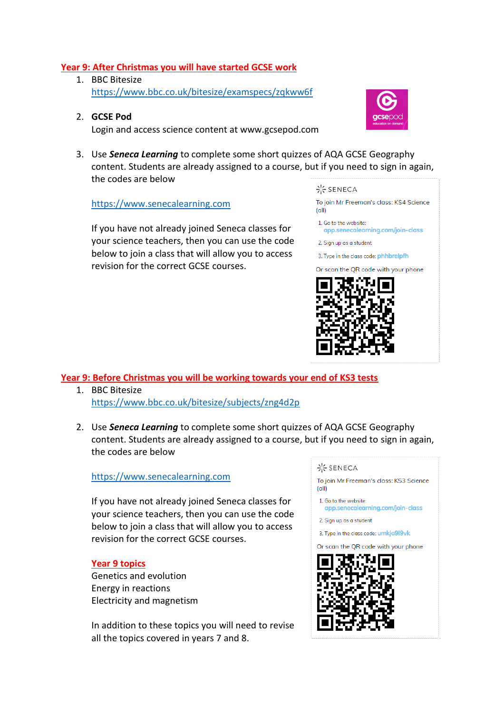## **Year 9: After Christmas you will have started GCSE work**

- 1. BBC Bitesize <https://www.bbc.co.uk/bitesize/examspecs/zqkww6f>
- 2. **GCSE Pod** Login and access science content at www.gcsepod.com



3. Use *Seneca Learning* to complete some short quizzes of AQA GCSE Geography content. Students are already assigned to a course, but if you need to sign in again, the codes are below

[https://www.senecalearning.com](https://www.senecalearning.com/)

If you have not already joined Seneca classes for your science teachers, then you can use the code below to join a class that will allow you to access revision for the correct GCSE courses.

#### - SENECA

To join Mr Freeman's class: KS4 Science  $(a||)$ 

- 1. Go to the website:
- app.senecalearning.com/join-class
- 2. Sign up as a student

3. Type in the class code: phhbrelpfh

Or scan the QR code with your phone



**Year 9: Before Christmas you will be working towards your end of KS3 tests**

- 1. BBC Bitesize <https://www.bbc.co.uk/bitesize/subjects/zng4d2p>
- 2. Use *Seneca Learning* to complete some short quizzes of AQA GCSE Geography content. Students are already assigned to a course, but if you need to sign in again, the codes are below

#### [https://www.senecalearning.com](https://www.senecalearning.com/)

If you have not already joined Seneca classes for your science teachers, then you can use the code below to join a class that will allow you to access revision for the correct GCSE courses.

#### **Year 9 topics**

Genetics and evolution Energy in reactions Electricity and magnetism

In addition to these topics you will need to revise all the topics covered in years 7 and 8.

#### - SENECA

To join Mr Freeman's class: KS3 Science  $(a||)$ 

- 1. Go to the website:
- app.senecalearning.com/join-class
- 2. Sign up as a student

3. Type in the class code: umkjo9l9vk

Or scan the QR code with your phone